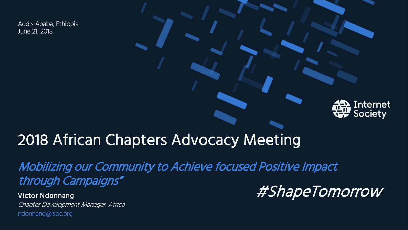Addis Ababa, Ethiopia June 21, 2018

#### **Internet** Society

#### 2018 African Chapters Advocacy Meeting

Mobilizing our Community to Achieve focused Positive Impact through Campaigns"

Victor Ndonnang

Chapter Development Manager, Africa ndonnang@isoc.org

#ShapeTomorrow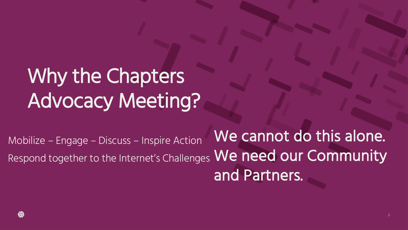# Why the Chapters Advocacy Meeting?

Mobilize – Engage – Discuss – Inspire Action Respond together to the Internet's Challenges  $\operatorname{\mathsf{We}}$  need our Community . We cannot do this alone. and Partners.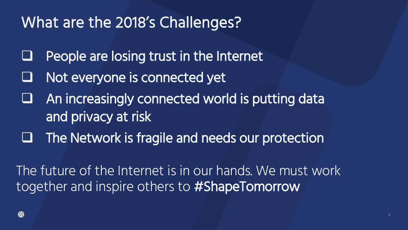### What are the 2018's Challenges?

- People are losing trust in the Internet
- Not everyone is connected yet
- An increasingly connected world is putting data and privacy at risk
- The Network is fragile and needs our protection

The future of the Internet is in our hands. We must work together and inspire others to #ShapeTomorrow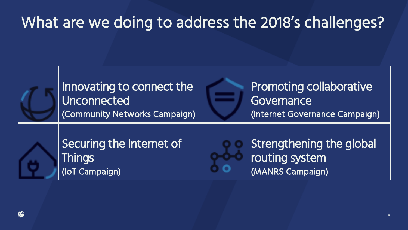### What are we doing to address the 2018's challenges?

| Innovating to connect the<br>Unconnected<br>(Community Networks Campaign) | <b>Promoting collaborative</b><br>Governance<br>(Internet Governance Campaign) |
|---------------------------------------------------------------------------|--------------------------------------------------------------------------------|
| Securing the Internet of<br><b>Things</b><br>(IoT Campaign)               | Strengthening the global<br>routing system<br>(MANRS Campaign)                 |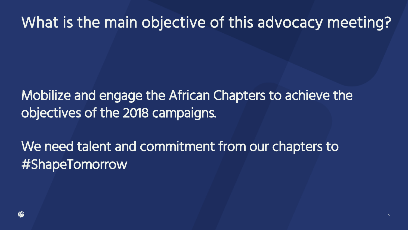### What is the main objective of this advocacy meeting?

Mobilize and engage the African Chapters to achieve the objectives of the 2018 campaigns.

We need talent and commitment from our chapters to #ShapeTomorrow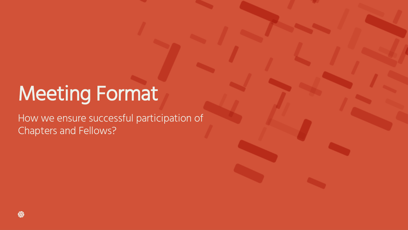### Meeting Format

How we ensure successful participation of Chapters and Fellows?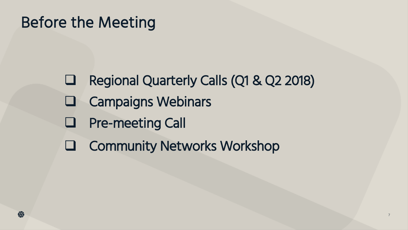### Before the Meeting

- Q Regional Quarterly Calls (Q1 & Q2 2018)
- $\Box$  Campaigns Webinars
- **Q** Pre-meeting Call
- **Q Community Networks Workshop**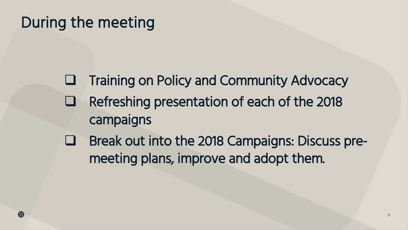### During the meeting

- **Q Training on Policy and Community Advocacy**
- Refreshing presentation of each of the 2018 campaigns
- Break out into the 2018 Campaigns: Discuss premeeting plans, improve and adopt them.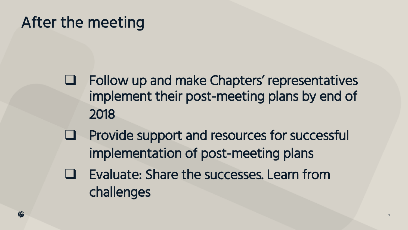### After the meeting

Follow up and make Chapters' representatives implement their post-meeting plans by end of 2018

- Provide support and resources for successful implementation of post-meeting plans
- Evaluate: Share the successes. Learn from challenges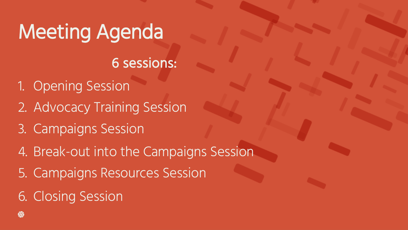# Meeting Agenda

#### 6 sessions:

- 1. Opening Session
- 2. Advocacy Training Session
- 3. Campaigns Session
- 4. Break-out into the Campaigns Session
- 5. Campaigns Resources Session
- 6. Closing Session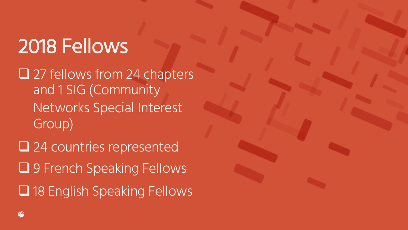# 2018 Fellows

 $\Box$  27 fellows from 24 chapters and 1 SIG (Community Networks Special Interest Group)

 $\square$  24 countries represented **Q** 9 French Speaking Fellows □ 18 English Speaking Fellows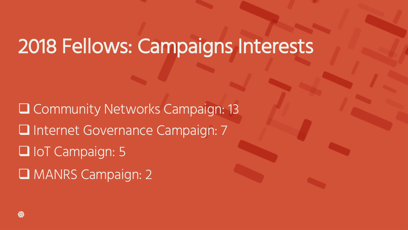### 2018 Fellows: Campaigns Interests

Q Community Networks Campaign: 13 **Q Internet Governance Campaign: 7** D IoT Campaign: 5 **Q MANRS Campaign: 2**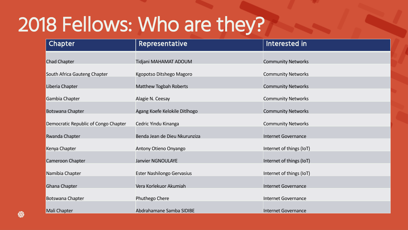## 2018 Fellows: Who are they?

| Chapter                              | <b>Representative</b>         | Interested in              |
|--------------------------------------|-------------------------------|----------------------------|
| <b>Chad Chapter</b>                  | Tidjani MAHAMAT ADOUM         | <b>Community Networks</b>  |
| South Africa Gauteng Chapter         | Kgopotso Ditshego Magoro      | <b>Community Networks</b>  |
| Liberia Chapter                      | Matthew Togbah Roberts        | <b>Community Networks</b>  |
| Gambia Chapter                       | Alagie N. Ceesay              | <b>Community Networks</b>  |
| <b>Botswana Chapter</b>              | Agang Koefe Kelokile Ditlhogo | <b>Community Networks</b>  |
| Democratic Republic of Congo Chapter | Cedric Yindu Kinanga          | <b>Community Networks</b>  |
| <b>Rwanda Chapter</b>                | Benda Jean de Dieu Nkurunziza | <b>Internet Governance</b> |
| Kenya Chapter                        | Antony Otieno Onyango         | Internet of things (IoT)   |
| Cameroon Chapter                     | <b>Janvier NGNOULAYE</b>      | Internet of things (IoT)   |
| Namibia Chapter                      | Ester Nashilongo Gervasius    | Internet of things (IoT)   |
| Ghana Chapter                        | Vera Korlekuor Akumiah        | <b>Internet Governance</b> |
| Botswana Chapter                     | Phuthego Chere                | <b>Internet Governance</b> |
| Mali Chapter                         | Abdrahamane Samba SIDIBE      | Internet Governance        |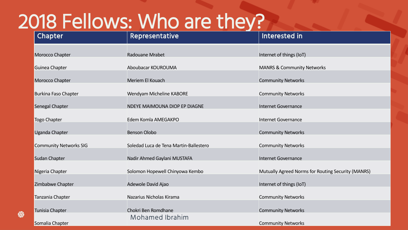### 2018 Fellows: Who are they?

₩

| Chapter                       | <b>Representative</b>                  | Interested in                                      |
|-------------------------------|----------------------------------------|----------------------------------------------------|
| Morocco Chapter               | Radouane Mrabet                        | Internet of things (IoT)                           |
| Guinea Chapter                | Aboubacar KOUROUMA                     | <b>MANRS &amp; Community Networks</b>              |
| Morocco Chapter               | Meriem El Kouach                       | <b>Community Networks</b>                          |
| <b>Burkina Faso Chapter</b>   | Wendyam Micheline KABORE               | <b>Community Networks</b>                          |
| Senegal Chapter               | NDEYE MAIMOUNA DIOP EP DIAGNE          | <b>Internet Governance</b>                         |
| Togo Chapter                  | Edem Komla AMEGAKPO                    | <b>Internet Governance</b>                         |
| <b>Uganda Chapter</b>         | <b>Benson Olobo</b>                    | <b>Community Networks</b>                          |
| <b>Community Networks SIG</b> | Soledad Luca de Tena Martin-Ballestero | <b>Community Networks</b>                          |
| <b>Sudan Chapter</b>          | Nadir Ahmed Gaylani MUSTAFA            | <b>Internet Governance</b>                         |
| Nigeria Chapter               | Solomon Hopewell Chinyowa Kembo        | Mutually Agreed Norms for Routing Security (MANRS) |
| Zimbabwe Chapter              | Adewole David Ajao                     | Internet of things (IoT)                           |
| Tanzania Chapter              | Nazarius Nicholas Kirama               | <b>Community Networks</b>                          |
| Tunisia Chapter               | Chokri Ben Romdhane                    | <b>Community Networks</b>                          |
| Somalia Chapter               | Mohamed Ibrahim                        | <b>Community Networks</b>                          |